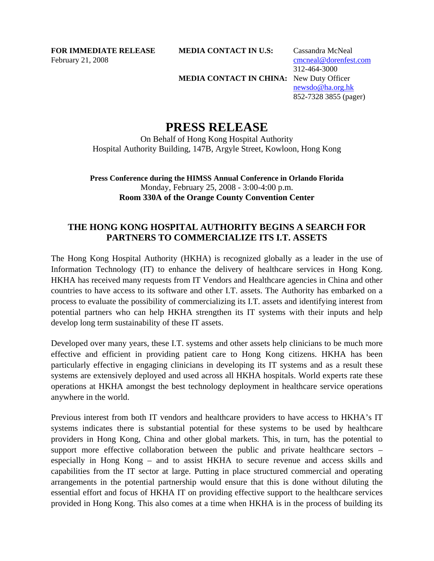**FOR IMMEDIATE RELEASE MEDIA CONTACT IN U.S:** Cassandra McNeal February 21, 2008 cmcneal@dorenfest.com

**MEDIA CONTACT IN CHINA:** New Duty Officer

 312-464-3000 newsdo@ha.org.hk 852-7328 3855 (pager)

# **PRESS RELEASE**

On Behalf of Hong Kong Hospital Authority Hospital Authority Building, 147B, Argyle Street, Kowloon, Hong Kong

**Press Conference during the HIMSS Annual Conference in Orlando Florida**  Monday, February 25, 2008 - 3:00-4:00 p.m. **Room 330A of the Orange County Convention Center**

## **THE HONG KONG HOSPITAL AUTHORITY BEGINS A SEARCH FOR PARTNERS TO COMMERCIALIZE ITS I.T. ASSETS**

The Hong Kong Hospital Authority (HKHA) is recognized globally as a leader in the use of Information Technology (IT) to enhance the delivery of healthcare services in Hong Kong. HKHA has received many requests from IT Vendors and Healthcare agencies in China and other countries to have access to its software and other I.T. assets. The Authority has embarked on a process to evaluate the possibility of commercializing its I.T. assets and identifying interest from potential partners who can help HKHA strengthen its IT systems with their inputs and help develop long term sustainability of these IT assets.

Developed over many years, these I.T. systems and other assets help clinicians to be much more effective and efficient in providing patient care to Hong Kong citizens. HKHA has been particularly effective in engaging clinicians in developing its IT systems and as a result these systems are extensively deployed and used across all HKHA hospitals. World experts rate these operations at HKHA amongst the best technology deployment in healthcare service operations anywhere in the world.

Previous interest from both IT vendors and healthcare providers to have access to HKHA's IT systems indicates there is substantial potential for these systems to be used by healthcare providers in Hong Kong, China and other global markets. This, in turn, has the potential to support more effective collaboration between the public and private healthcare sectors – especially in Hong Kong – and to assist HKHA to secure revenue and access skills and capabilities from the IT sector at large. Putting in place structured commercial and operating arrangements in the potential partnership would ensure that this is done without diluting the essential effort and focus of HKHA IT on providing effective support to the healthcare services provided in Hong Kong. This also comes at a time when HKHA is in the process of building its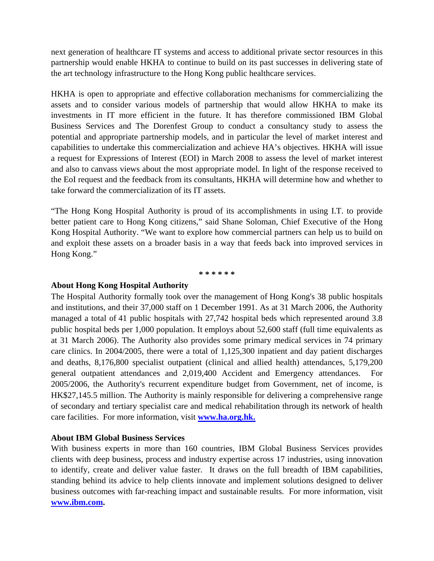next generation of healthcare IT systems and access to additional private sector resources in this partnership would enable HKHA to continue to build on its past successes in delivering state of the art technology infrastructure to the Hong Kong public healthcare services.

HKHA is open to appropriate and effective collaboration mechanisms for commercializing the assets and to consider various models of partnership that would allow HKHA to make its investments in IT more efficient in the future. It has therefore commissioned IBM Global Business Services and The Dorenfest Group to conduct a consultancy study to assess the potential and appropriate partnership models, and in particular the level of market interest and capabilities to undertake this commercialization and achieve HA's objectives. HKHA will issue a request for Expressions of Interest (EOI) in March 2008 to assess the level of market interest and also to canvass views about the most appropriate model. In light of the response received to the EoI request and the feedback from its consultants, HKHA will determine how and whether to take forward the commercialization of its IT assets.

"The Hong Kong Hospital Authority is proud of its accomplishments in using I.T. to provide better patient care to Hong Kong citizens," said Shane Soloman, Chief Executive of the Hong Kong Hospital Authority. "We want to explore how commercial partners can help us to build on and exploit these assets on a broader basis in a way that feeds back into improved services in Hong Kong."

**\* \* \* \* \* \*** 

### **About Hong Kong Hospital Authority**

The Hospital Authority formally took over the management of Hong Kong's 38 public hospitals and institutions, and their 37,000 staff on 1 December 1991. As at 31 March 2006, the Authority managed a total of 41 public hospitals with 27,742 hospital beds which represented around 3.8 public hospital beds per 1,000 population. It employs about 52,600 staff (full time equivalents as at 31 March 2006). The Authority also provides some primary medical services in 74 primary care clinics. In 2004/2005, there were a total of 1,125,300 inpatient and day patient discharges and deaths, 8,176,800 specialist outpatient (clinical and allied health) attendances, 5,179,200 general outpatient attendances and 2,019,400 Accident and Emergency attendances. For 2005/2006, the Authority's recurrent expenditure budget from Government, net of income, is HK\$27,145.5 million. The Authority is mainly responsible for delivering a comprehensive range of secondary and tertiary specialist care and medical rehabilitation through its network of health care facilities. For more information, visit **www.ha.org.hk.**

### **About IBM Global Business Services**

With business experts in more than 160 countries, IBM Global Business Services provides clients with deep business, process and industry expertise across 17 industries, using innovation to identify, create and deliver value faster. It draws on the full breadth of IBM capabilities, standing behind its advice to help clients innovate and implement solutions designed to deliver business outcomes with far-reaching impact and sustainable results. For more information, visit **www.ibm.com.**